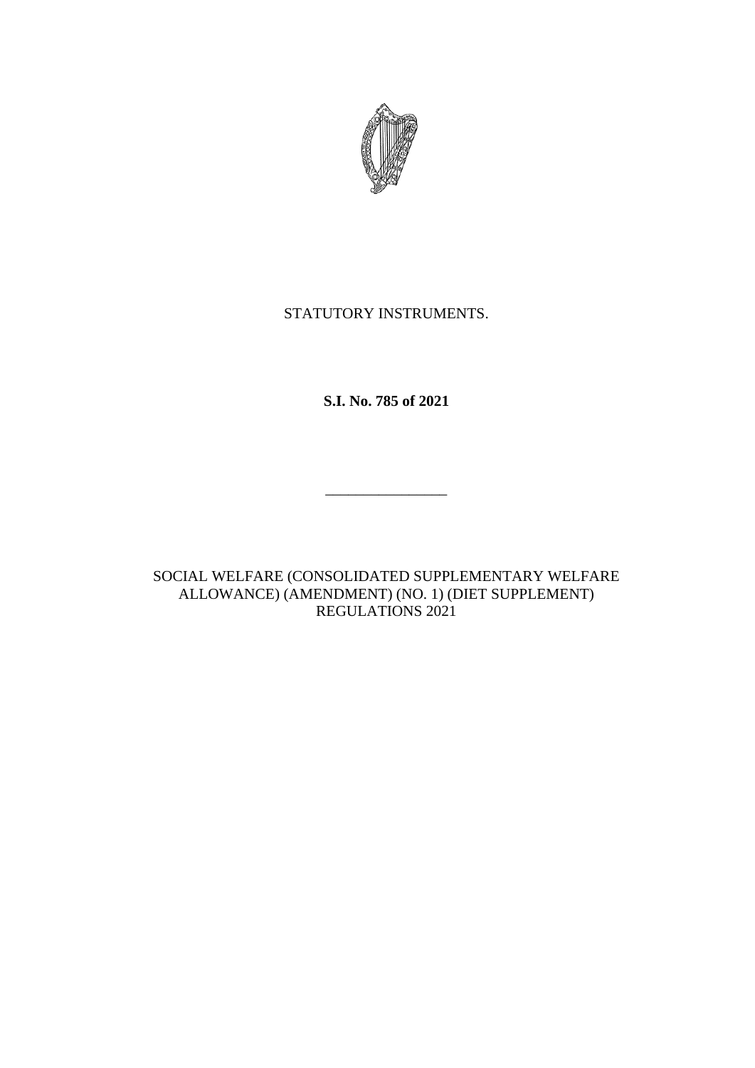

# STATUTORY INSTRUMENTS.

**S.I. No. 785 of 2021**

\_\_\_\_\_\_\_\_\_\_\_\_\_\_\_\_

SOCIAL WELFARE (CONSOLIDATED SUPPLEMENTARY WELFARE ALLOWANCE) (AMENDMENT) (NO. 1) (DIET SUPPLEMENT) REGULATIONS 2021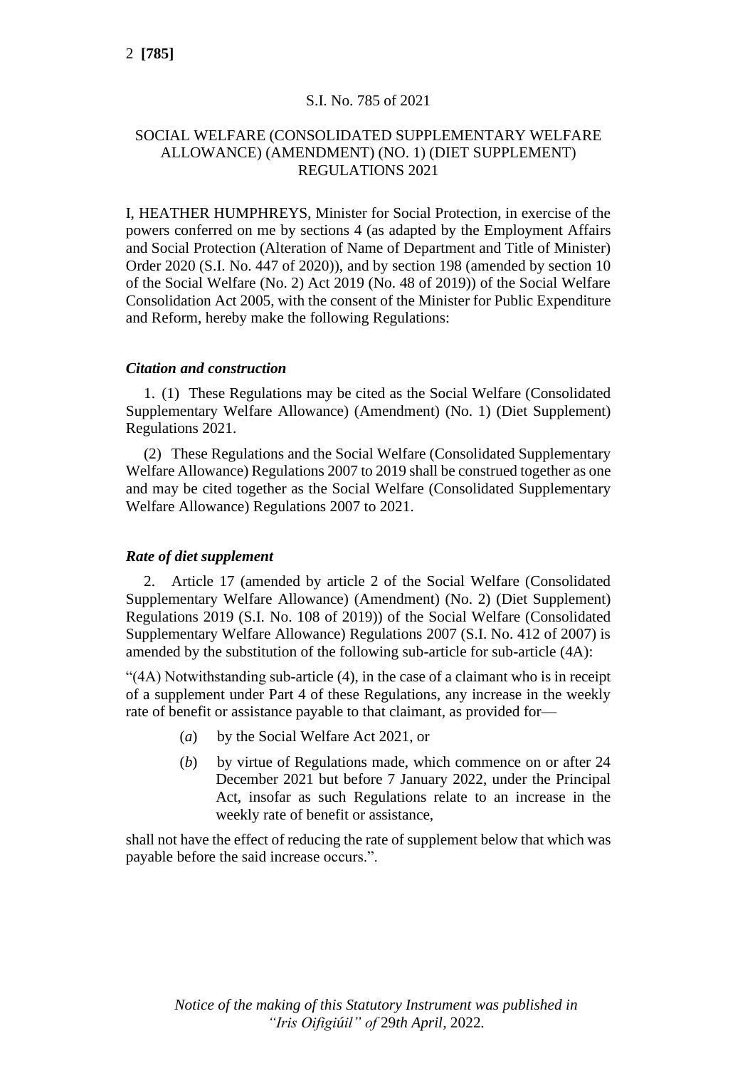## S.I. No. 785 of 2021

## SOCIAL WELFARE (CONSOLIDATED SUPPLEMENTARY WELFARE ALLOWANCE) (AMENDMENT) (NO. 1) (DIET SUPPLEMENT) REGULATIONS 2021

I, HEATHER HUMPHREYS, Minister for Social Protection, in exercise of the powers conferred on me by sections 4 (as adapted by the Employment Affairs and Social Protection (Alteration of Name of Department and Title of Minister) Order 2020 (S.I. No. 447 of 2020)), and by section 198 (amended by section 10 of the Social Welfare (No. 2) Act 2019 (No. 48 of 2019)) of the Social Welfare Consolidation Act 2005, with the consent of the Minister for Public Expenditure and Reform, hereby make the following Regulations:

#### *Citation and construction*

1. (1) These Regulations may be cited as the Social Welfare (Consolidated Supplementary Welfare Allowance) (Amendment) (No. 1) (Diet Supplement) Regulations 2021.

(2) These Regulations and the Social Welfare (Consolidated Supplementary Welfare Allowance) Regulations 2007 to 2019 shall be construed together as one and may be cited together as the Social Welfare (Consolidated Supplementary Welfare Allowance) Regulations 2007 to 2021.

### *Rate of diet supplement*

2. Article 17 (amended by article 2 of the Social Welfare (Consolidated Supplementary Welfare Allowance) (Amendment) (No. 2) (Diet Supplement) Regulations 2019 (S.I. No. 108 of 2019)) of the Social Welfare (Consolidated Supplementary Welfare Allowance) Regulations 2007 (S.I. No. 412 of 2007) is amended by the substitution of the following sub-article for sub-article (4A):

"(4A) Notwithstanding sub-article (4), in the case of a claimant who is in receipt of a supplement under Part 4 of these Regulations, any increase in the weekly rate of benefit or assistance payable to that claimant, as provided for—

- (*a*) by the Social Welfare Act 2021, or
- (*b*) by virtue of Regulations made, which commence on or after 24 December 2021 but before 7 January 2022, under the Principal Act, insofar as such Regulations relate to an increase in the weekly rate of benefit or assistance,

shall not have the effect of reducing the rate of supplement below that which was payable before the said increase occurs.".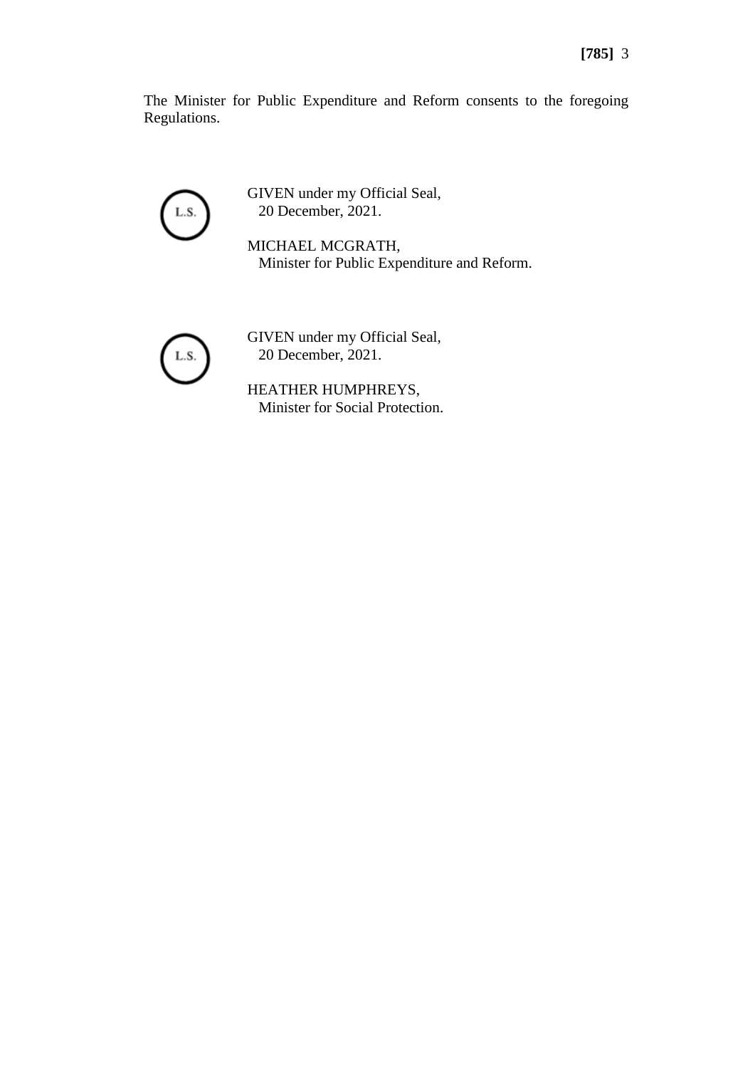The Minister for Public Expenditure and Reform consents to the foregoing Regulations.



GIVEN under my Official Seal, 20 December, 2021.

MICHAEL MCGRATH, Minister for Public Expenditure and Reform.



GIVEN under my Official Seal, 20 December, 2021.

HEATHER HUMPHREYS, Minister for Social Protection.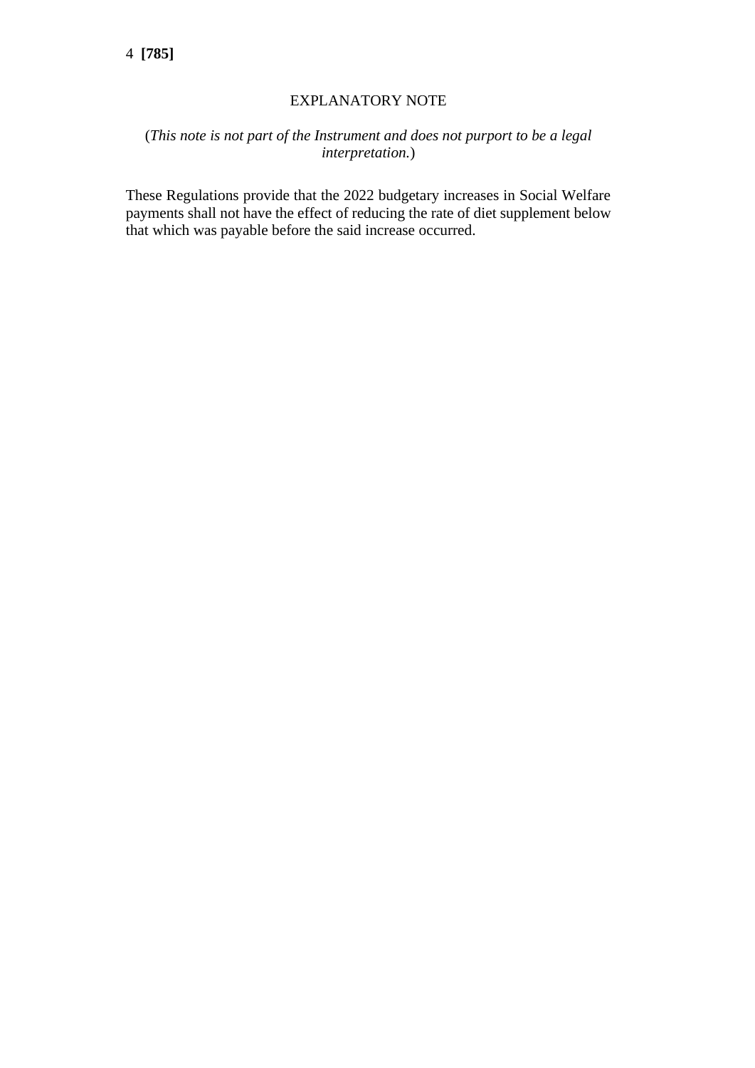# EXPLANATORY NOTE

# (*This note is not part of the Instrument and does not purport to be a legal interpretation.*)

These Regulations provide that the 2022 budgetary increases in Social Welfare payments shall not have the effect of reducing the rate of diet supplement below that which was payable before the said increase occurred.